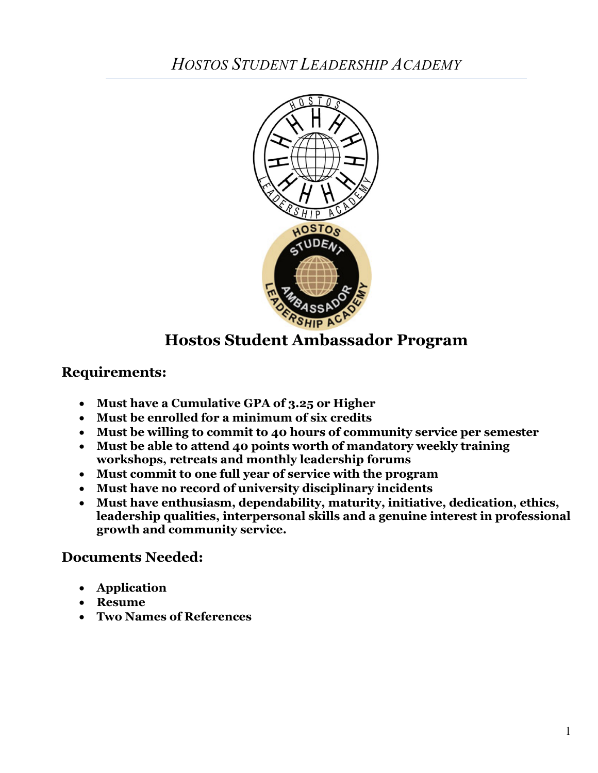

# **Hostos Student Ambassador Program**

### **Requirements:**

- **Must have a Cumulative GPA of 3.25 or Higher**
- **Must be enrolled for a minimum of six credits**
- **Must be willing to commit to 40 hours of community service per semester**
- **Must be able to attend 40 points worth of mandatory weekly training workshops, retreats and monthly leadership forums**
- **Must commit to one full year of service with the program**
- **Must have no record of university disciplinary incidents**
- **Must have enthusiasm, dependability, maturity, initiative, dedication, ethics, leadership qualities, interpersonal skills and a genuine interest in professional growth and community service.**

# **Documents Needed:**

- **Application**
- **Resume**
- **Two Names of References**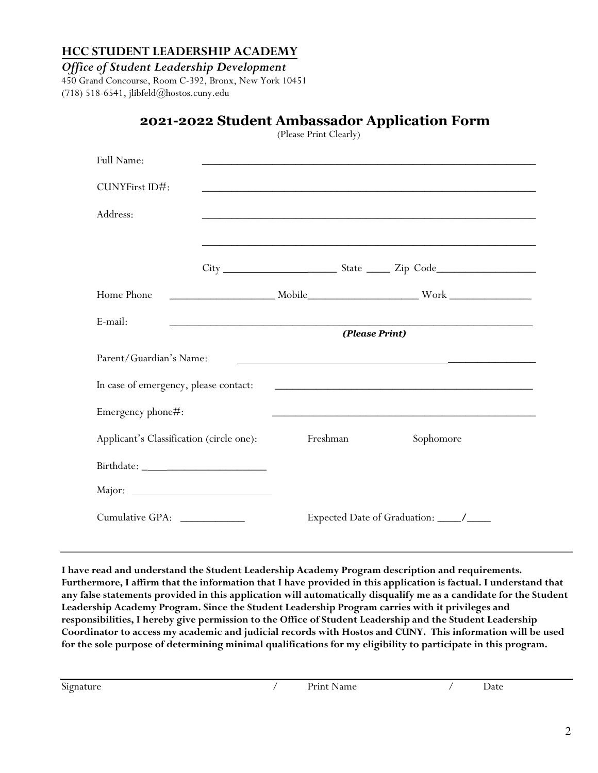#### **HCC STUDENT LEADERSHIP ACADEMY**

*Office of Student Leadership Development*

450 Grand Concourse, Room C-392, Bronx, New York 10451 (718) 518-6541, [jlibfeld@hostos.cuny.edu](mailto:StudentLeadershipAcademy@hostos.cuny.edu)

#### **2021-2022 Student Ambassador Application Form**  (Please Print Clearly)

| Full Name:                               |                                                       |          |  |                                                                                                                                                                                                                                      |  |
|------------------------------------------|-------------------------------------------------------|----------|--|--------------------------------------------------------------------------------------------------------------------------------------------------------------------------------------------------------------------------------------|--|
| CUNYFirst ID#:                           |                                                       |          |  |                                                                                                                                                                                                                                      |  |
| Address:                                 |                                                       |          |  | <u> 1989 - Johann Harry Harry Harry Harry Harry Harry Harry Harry Harry Harry Harry Harry Harry Harry Harry Harry</u>                                                                                                                |  |
|                                          |                                                       |          |  | <u> 1999 - 1999 - 1999 - 1999 - 1999 - 1999 - 1999 - 1999 - 1999 - 1999 - 1999 - 1999 - 1999 - 1999 - 1999 - 19</u>                                                                                                                  |  |
|                                          |                                                       |          |  |                                                                                                                                                                                                                                      |  |
| Home Phone                               |                                                       |          |  |                                                                                                                                                                                                                                      |  |
| E-mail:                                  | <u> 1989 - Paris Amerikaanse kommunister († 1905)</u> |          |  |                                                                                                                                                                                                                                      |  |
|                                          | (Please Print)                                        |          |  |                                                                                                                                                                                                                                      |  |
| Parent/Guardian's Name:                  |                                                       |          |  |                                                                                                                                                                                                                                      |  |
| In case of emergency, please contact:    |                                                       |          |  | <u> 1999 - Johann Harry Harry Harry Harry Harry Harry Harry Harry Harry Harry Harry Harry Harry Harry Harry Harry Harry Harry Harry Harry Harry Harry Harry Harry Harry Harry Harry Harry Harry Harry Harry Harry Harry Harry Ha</u> |  |
| Emergency phone#:                        |                                                       |          |  |                                                                                                                                                                                                                                      |  |
| Applicant's Classification (circle one): |                                                       | Freshman |  | Sophomore                                                                                                                                                                                                                            |  |
|                                          |                                                       |          |  |                                                                                                                                                                                                                                      |  |
|                                          |                                                       |          |  |                                                                                                                                                                                                                                      |  |
| Cumulative GPA: _____________            |                                                       |          |  |                                                                                                                                                                                                                                      |  |

**I have read and understand the Student Leadership Academy Program description and requirements. Furthermore, I affirm that the information that I have provided in this application is factual. I understand that any false statements provided in this application will automatically disqualify me as a candidate for the Student Leadership Academy Program. Since the Student Leadership Program carries with it privileges and responsibilities, I hereby give permission to the Office of Student Leadership and the Student Leadership Coordinator to access my academic and judicial records with Hostos and CUNY. This information will be used for the sole purpose of determining minimal qualifications for my eligibility to participate in this program.**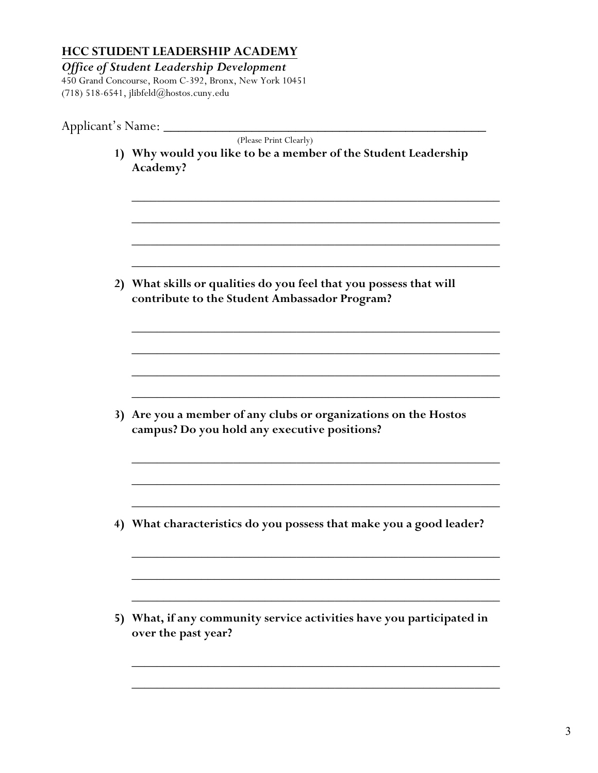## **HCC STUDENT LEADERSHIP ACADEMY**

*Office of Student Leadership Development* 450 Grand Concourse, Room C-392, Bronx, New York 10451 (718) 518-6541, jlibfeld@hostos.cuny.edu

| Applicant's Name: ___ |                                                                                                                     |
|-----------------------|---------------------------------------------------------------------------------------------------------------------|
|                       | (Please Print Clearly)<br>1) Why would you like to be a member of the Student Leadership<br>Academy?                |
|                       | 2) What skills or qualities do you feel that you possess that will<br>contribute to the Student Ambassador Program? |
|                       | 3) Are you a member of any clubs or organizations on the Hostos<br>campus? Do you hold any executive positions?     |
|                       | 4) What characteristics do you possess that make you a good leader?                                                 |
|                       | 5) What, if any community service activities have you participated in<br>over the past year?                        |
|                       |                                                                                                                     |